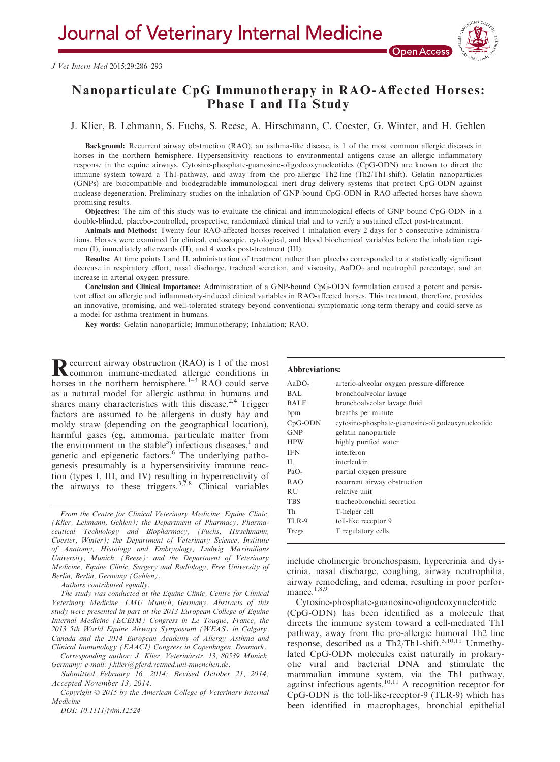# Nanoparticulate CpG Immunotherapy in RAO-Affected Horses: Phase I and IIa Study

J. Klier, B. Lehmann, S. Fuchs, S. Reese, A. Hirschmann, C. Coester, G. Winter, and H. Gehlen

Background: Recurrent airway obstruction (RAO), an asthma-like disease, is 1 of the most common allergic diseases in horses in the northern hemisphere. Hypersensitivity reactions to environmental antigens cause an allergic inflammatory response in the equine airways. Cytosine-phosphate-guanosine-oligodeoxynucleotides (CpG-ODN) are known to direct the immune system toward a Th1-pathway, and away from the pro-allergic Th2-line (Th2/Th1-shift). Gelatin nanoparticles (GNPs) are biocompatible and biodegradable immunological inert drug delivery systems that protect CpG-ODN against nuclease degeneration. Preliminary studies on the inhalation of GNP-bound CpG-ODN in RAO-affected horses have shown promising results.

Objectives: The aim of this study was to evaluate the clinical and immunological effects of GNP-bound CpG-ODN in a double-blinded, placebo-controlled, prospective, randomized clinical trial and to verify a sustained effect post-treatment.

Animals and Methods: Twenty-four RAO-affected horses received 1 inhalation every 2 days for 5 consecutive administrations. Horses were examined for clinical, endoscopic, cytological, and blood biochemical variables before the inhalation regimen (I), immediately afterwards (II), and 4 weeks post-treatment (III).

Results: At time points I and II, administration of treatment rather than placebo corresponded to a statistically significant decrease in respiratory effort, nasal discharge, tracheal secretion, and viscosity, AaDO<sub>2</sub> and neutrophil percentage, and an increase in arterial oxygen pressure.

Conclusion and Clinical Importance: Administration of a GNP-bound CpG-ODN formulation caused a potent and persistent effect on allergic and inflammatory-induced clinical variables in RAO-affected horses. This treatment, therefore, provides an innovative, promising, and well-tolerated strategy beyond conventional symptomatic long-term therapy and could serve as a model for asthma treatment in humans.

Key words: Gelatin nanoparticle; Immunotherapy; Inhalation; RAO.

**R**ecurrent airway obstruction (RAO) is 1 of the most<br>common immune-mediated allergic conditions in horses in the northern hemisphere.<sup>1–3</sup> RAO could serve as a natural model for allergic asthma in humans and shares many characteristics with this disease.<sup>2,4</sup> Trigger factors are assumed to be allergens in dusty hay and moldy straw (depending on the geographical location), harmful gases (eg, ammonia, particulate matter from the environment in the stable<sup>5</sup>) infectious diseases,<sup>1</sup> and genetic and epigenetic factors.<sup>6</sup> The underlying pathogenesis presumably is a hypersensitivity immune reaction (types I, III, and IV) resulting in hyperreactivity of the airways to these triggers.<sup>3,7,8</sup> Clinical variables

From the Centre for Clinical Veterinary Medicine, Equine Clinic, (Klier, Lehmann, Gehlen); the Department of Pharmacy, Pharmaceutical Technology and Biopharmacy, (Fuchs, Hirschmann, Coester, Winter); the Department of Veterinary Science, Institute of Anatomy, Histology and Embryology, Ludwig Maximilians University, Munich, (Reese); and the Department of Veterinary Medicine, Equine Clinic, Surgery and Radiology, Free University of Berlin, Berlin, Germany (Gehlen).

Authors contributed equally.

The study was conducted at the Equine Clinic, Centre for Clinical Veterinary Medicine, LMU Munich, Germany. Abstracts of this study were presented in part at the 2013 European College of Equine Internal Medicine (ECEIM) Congress in Le Touque, France, the 2013 5th World Equine Airways Symposium (WEAS) in Calgary, Canada and the 2014 European Academy of Allergy Asthma and Clinical Immunology (EAACI) Congress in Copenhagen, Denmark.

Corresponding author: J. Klier, Veterinärstr. 13, 80539 Munich, Germany; e-mail: j.klier@pferd.vetmed.uni-muenchen.de.

Submitted February 16, 2014; Revised October 21, 2014; Accepted November 13, 2014.

Copyright © 2015 by the American College of Veterinary Internal Medicine

DOI: 10.1111/jvim.12524

#### Abbreviations:

| AaDO <sub>2</sub> | arterio-alveolar oxygen pressure difference       |
|-------------------|---------------------------------------------------|
| BAL               | bronchoalveolar lavage                            |
| <b>BALF</b>       | bronchoalveolar lavage fluid                      |
| bpm               | breaths per minute                                |
| $CpG-ODN$         | cytosine-phosphate-guanosine-oligodeoxynucleotide |
| <b>GNP</b>        | gelatin nanoparticle                              |
| <b>HPW</b>        | highly purified water                             |
| <b>IFN</b>        | interferon                                        |
| Н.                | interleukin                                       |
| PaO <sub>2</sub>  | partial oxygen pressure                           |
| RAO               | recurrent airway obstruction                      |
| <b>RU</b>         | relative unit                                     |
| TBS               | tracheobronchial secretion                        |
| Th                | T-helper cell                                     |
| TLR-9             | toll-like receptor 9                              |
| Tregs             | T regulatory cells                                |
|                   |                                                   |

include cholinergic bronchospasm, hypercrinia and dyscrinia, nasal discharge, coughing, airway neutrophilia, airway remodeling, and edema, resulting in poor performance. $1,8,9$ 

Cytosine-phosphate-guanosine-oligodeoxynucleotide (CpG-ODN) has been identified as a molecule that directs the immune system toward a cell-mediated Th1 pathway, away from the pro-allergic humoral Th2 line response, described as a Th2/Th1-shift.<sup>3,10,11</sup> Unmethylated CpG-ODN molecules exist naturally in prokaryotic viral and bacterial DNA and stimulate the mammalian immune system, via the Th1 pathway, against infectious agents.<sup>10,11</sup> A recognition receptor for CpG-ODN is the toll-like-receptor-9 (TLR-9) which has been identified in macrophages, bronchial epithelial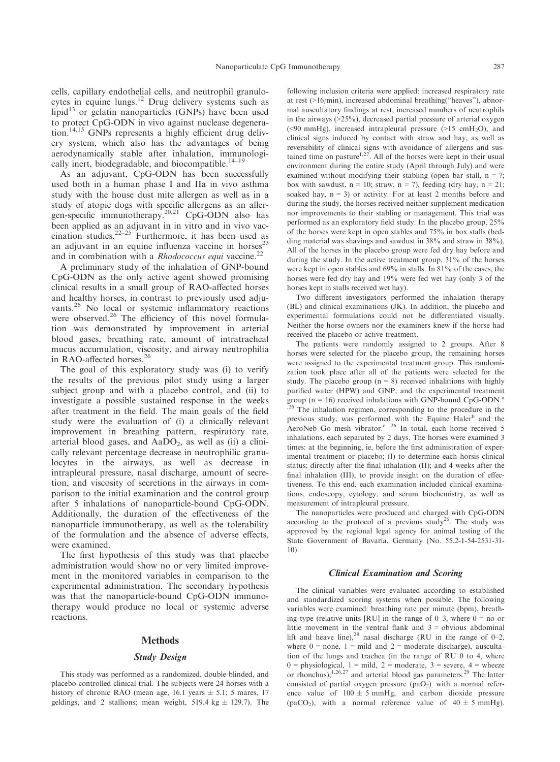cells, capillary endothelial cells, and neutrophil granulocytes in equine lungs.<sup>12</sup> Drug delivery systems such as lipid $13$  or gelatin nanoparticles (GNPs) have been used to protect CpG-ODN in vivo against nuclease degeneration.14,15 GNPs represents a highly efficient drug delivery system, which also has the advantages of being aerodynamically stable after inhalation, immunologically inert, biodegradable, and biocompatible.<sup>14–19</sup>

As an adjuvant, CpG-ODN has been successfully used both in a human phase I and IIa in vivo asthma study with the house dust mite allergen as well as in a study of atopic dogs with specific allergens as an allergen-specific immunotherapy.<sup>20,21</sup> CpG-ODN also has been applied as an adjuvant in in vitro and in vivo vaccination studies.<sup>22–25</sup> Furthermore, it has been used as an adjuvant in an equine influenza vaccine in horses<sup>23</sup> and in combination with a Rhodococcus equi vaccine.<sup>22</sup>

A preliminary study of the inhalation of GNP-bound CpG-ODN as the only active agent showed promising clinical results in a small group of RAO-affected horses and healthy horses, in contrast to previously used adjuvants.<sup>26</sup> No local or systemic inflammatory reactions were observed.<sup>26</sup> The efficiency of this novel formulation was demonstrated by improvement in arterial blood gases, breathing rate, amount of intratracheal mucus accumulation, viscosity, and airway neutrophilia in RAO-affected horses.<sup>26</sup>

The goal of this exploratory study was (i) to verify the results of the previous pilot study using a larger subject group and with a placebo control, and (ii) to investigate a possible sustained response in the weeks after treatment in the field. The main goals of the field study were the evaluation of (i) a clinically relevant improvement in breathing pattern, respiratory rate, arterial blood gases, and  $AaDO<sub>2</sub>$ , as well as (ii) a clinically relevant percentage decrease in neutrophilic granulocytes in the airways, as well as decrease in intrapleural pressure, nasal discharge, amount of secretion, and viscosity of secretions in the airways in comparison to the initial examination and the control group after 5 inhalations of nanoparticle-bound CpG-ODN. Additionally, the duration of the effectiveness of the nanoparticle immunotherapy, as well as the tolerability of the formulation and the absence of adverse effects, were examined.

The first hypothesis of this study was that placebo administration would show no or very limited improvement in the monitored variables in comparison to the experimental administration. The secondary hypothesis was that the nanoparticle-bound CpG-ODN immunotherapy would produce no local or systemic adverse reactions.

## **Methods**

#### Study Design

This study was performed as a randomized, double-blinded, and placebo-controlled clinical trial. The subjects were 24 horses with a history of chronic RAO (mean age, 16.1 years  $\pm$  5.1; 5 mares, 17 geldings, and 2 stallions; mean weight, 519.4 kg  $\pm$  129.7). The

following inclusion criteria were applied: increased respiratory rate at rest (>16/min), increased abdominal breathing("heaves"), abnormal auscultatory findings at rest, increased numbers of neutrophils in the airways  $(>=25\%)$ , decreased partial pressure of arterial oxygen (<90 mmHg), increased intrapleural pressure ( $>15$  cmH<sub>2</sub>O), and clinical signs induced by contact with straw and hay, as well as reversibility of clinical signs with avoidance of allergens and sustained time on pasture<sup>1,27</sup>. All of the horses were kept in their usual environment during the entire study (April through July) and were examined without modifying their stabling (open bar stall,  $n = 7$ ; box with sawdust,  $n = 10$ ; straw,  $n = 7$ ), feeding (dry hay,  $n = 21$ ; soaked hay,  $n = 3$ ) or activity. For at least 2 months before and during the study, the horses received neither supplement medication nor improvements to their stabling or management. This trial was performed as an exploratory field study. In the placebo group, 25% of the horses were kept in open stables and 75% in box stalls (bedding material was shavings and sawdust in 38% and straw in 38%). All of the horses in the placebo group were fed dry hay before and during the study. In the active treatment group, 31% of the horses were kept in open stables and 69% in stalls. In 81% of the cases, the horses were fed dry hay and 19% were fed wet hay (only 3 of the horses kept in stalls received wet hay).

Two different investigators performed the inhalation therapy (BL) and clinical examinations (JK). In addition, the placebo and experimental formulations could not be differentiated visually. Neither the horse owners nor the examiners knew if the horse had received the placebo or active treatment.

The patients were randomly assigned to 2 groups. After 8 horses were selected for the placebo group, the remaining horses were assigned to the experimental treatment group. This randomization took place after all of the patients were selected for the study. The placebo group  $(n = 8)$  received inhalations with highly purified water (HPW) and GNP, and the experimental treatment group ( $n = 16$ ) received inhalations with GNP-bound CpG-ODN.<sup>a</sup> <sup>,26</sup> The inhalation regimen, corresponding to the procedure in the previous study, was performed with the Equine Haler<sup>b</sup> and the AeroNeb Go mesh vibrator.<sup>c</sup> ,<sup>26</sup> In total, each horse received 5 inhalations, each separated by 2 days. The horses were examined 3 times: at the beginning, ie, before the first administration of experimental treatment or placebo; (I) to determine each horsis clinical status; directly after the final inhalation (II); and 4 weeks after the final inhalation (III), to provide insight on the duration of effectiveness. To this end, each examination included clinical examinations, endoscopy, cytology, and serum biochemistry, as well as measurement of intrapleural pressure.

The nanoparticles were produced and charged with CpG-ODN according to the protocol of a previous study<sup>26</sup>. The study was approved by the regional legal agency for animal testing of the State Government of Bavaria, Germany (No. 55.2-1-54-2531-31- 10).

#### Clinical Examination and Scoring

The clinical variables were evaluated according to established and standardized scoring systems when possible. The following variables were examined: breathing rate per minute (bpm), breathing type (relative units [RU] in the range of  $0-3$ , where  $0 =$  no or little movement in the ventral flank and  $3 =$  obvious abdominal lift and heave line),  $^{28}$  nasal discharge (RU in the range of 0–2, where  $0 =$  none,  $1 =$  mild and  $2 =$  moderate discharge), auscultation of the lungs and trachea (in the range of RU 0 to 4, where  $0 =$  physiological,  $1 =$  mild,  $2 =$  moderate,  $3 =$  severe,  $4 =$  wheeze or rhonchus),<sup>1,26,27</sup> and arterial blood gas parameters.<sup>29</sup> The latter consisted of partial oxygen pressure  $(paO<sub>2</sub>)$ , with a normal reference value of  $100 \pm 5$  mmHg, and carbon dioxide pressure (paCO<sub>2</sub>), with a normal reference value of  $40 \pm 5$  mmHg).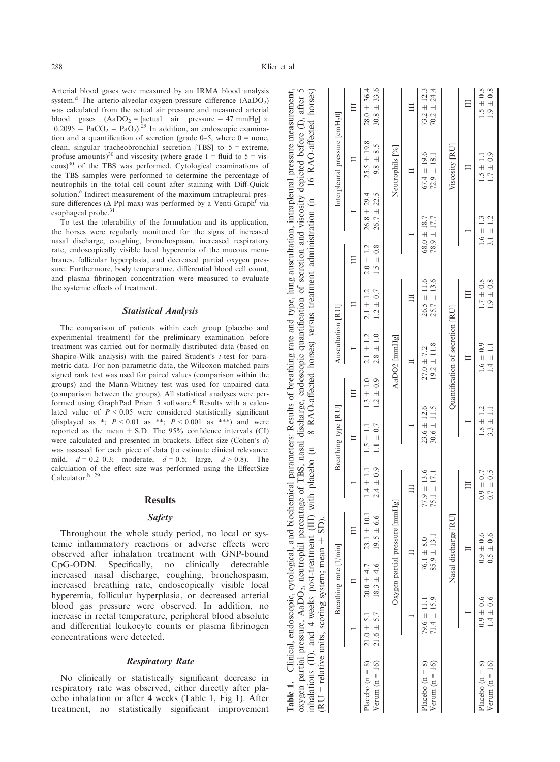Table 1. Clinical, endoscopic, cytological, and biochemical parameters: Results of breathing rate and type, lung auscultation, intrapleural pressure measurement, oxygen partial pressure, AaDO<sub>2</sub>, neutrophil percentage of TBS, nasal discharge, endoscopic quantification of secretion and viscosity depicted before (I), after 5

Table 1. Clinical, endoscopic, cytological, and biochemical parameters: Results of breathing rate and type, lung auscultation, intrapleural pressure measurement,<br>oxygen partial pressure, AaDO<sub>2</sub>, neutrophil percentage of T

Arterial blood gases were measured by an IRMA blood analysis system.<sup>d</sup> The arterio-alveolar-oxygen-pressure difference  $(AaDO<sub>2</sub>)$ was calculated from the actual air pressure and measured arterial blood gases  $(AaDO<sub>2</sub> = [actual air pressure - 47 mmHg] \times$  $0.2095 - PaCO<sub>2</sub> - PaO<sub>2</sub>$ ).<sup>29</sup> In addition, an endoscopic examination and a quantification of secretion (grade  $0-5$ , where  $0 =$  none, clean, singular tracheobronchial secretion [TBS] to 5 = extreme, profuse amounts)<sup>30</sup> and viscosity (where grade  $1 =$  fluid to  $5 =$  vis- $\cos^{30}$  of the TBS was performed. Cytological examinations of the TBS samples were performed to determine the percentage of neutrophils in the total cell count after staining with Diff-Quick solution.<sup>e</sup> Indirect measurement of the maximum intrapleural pressure differences ( $\Delta$  Ppl max) was performed by a Venti-Graph<sup>f</sup> via esophageal probe.<sup>31</sup>

To test the tolerability of the formulation and its application, the horses were regularly monitored for the signs of increased nasal discharge, coughing, bronchospasm, increased respiratory rate, endoscopically visible local hyperemia of the mucous membranes, follicular hyperplasia, and decreased partial oxygen pressure. Furthermore, body temperature, differential blood cell count, and plasma fibrinogen concentration were measured to evaluate the systemic effects of treatment.

## Statistical Analysis

The comparison of patients within each group (placebo and experimental treatment) for the preliminary examination before treatment was carried out for normally distributed data (based on Shapiro-Wilk analysis) with the paired Student's *t*-test for parametric data. For non-parametric data, the Wilcoxon matched pairs signed rank test was used for paired values (comparison within the groups) and the Mann-Whitney test was used for unpaired data (comparison between the groups). All statistical analyses were performed using GraphPad Prism 5 software.<sup>g</sup> Results with a calculated value of  $P \leq 0.05$  were considered statistically significant (displayed as \*;  $P < 0.01$  as \*\*;  $P < 0.001$  as \*\*\*) and were reported as the mean  $\pm$  S.D. The 95% confidence intervals (CI) were calculated and presented in brackets. Effect size (Cohen's d) was assessed for each piece of data (to estimate clinical relevance: mild,  $d = 0.2{\text -}0.3$ ; moderate,  $d = 0.5$ ; large,  $d > 0.8$ ). The calculation of the effect size was performed using the EffectSize Calculator.<sup>h</sup>,<sup>29</sup>

# **Results**

# Safety

Throughout the whole study period, no local or systemic inflammatory reactions or adverse effects were observed after inhalation treatment with GNP-bound CpG-ODN. Specifically, no clinically detectable increased nasal discharge, coughing, bronchospasm, increased breathing rate, endoscopically visible local hyperemia, follicular hyperplasia, or decreased arterial blood gas pressure were observed. In addition, no increase in rectal temperature, peripheral blood absolute and differential leukocyte counts or plasma fibrinogen concentrations were detected.

# Respiratory Rate

No clinically or statistically significant decrease in respiratory rate was observed, either directly after placebo inhalation or after 4 weeks (Table 1, Fig 1). After treatment, no statistically significant improvement

| inhalations (II), and 4 weeks post-treatment (III) with placebo ( $n = 8$ RAO-affected horses) versus treatment administration ( $n = 16$ RAO-affected horses)<br>(RU = relative units, scoring system; mean $\pm$ SD). |                                    | Breathing rate [1/min]           |                                   |                                    | Breathing type [RU]                |                                | Auscultation [RU]                |                                    |                                |                                    | Interpleural pressure [cmH <sub>2</sub> 0] |                                    |
|-------------------------------------------------------------------------------------------------------------------------------------------------------------------------------------------------------------------------|------------------------------------|----------------------------------|-----------------------------------|------------------------------------|------------------------------------|--------------------------------|----------------------------------|------------------------------------|--------------------------------|------------------------------------|--------------------------------------------|------------------------------------|
|                                                                                                                                                                                                                         |                                    |                                  |                                   |                                    |                                    |                                |                                  |                                    |                                |                                    |                                            |                                    |
| Placebo $(n = 8)$<br>Verum $(n = 16)$                                                                                                                                                                                   | $21.0 \pm 5.1$<br>$21.6 \pm 5.7$   | $18.3 \pm 4.6$<br>$20.0 \pm 4.7$ | $23.1 \pm 10.1$<br>$19.5 \pm 6.6$ | $1.4 \pm 1.1$<br>$2.4 \pm 0.9$     | $1.5 \pm 1.1$<br>$.1 \pm 0.7$      | $1.3 \pm 1.0$<br>$1.2 \pm 0.9$ | $2.1 \pm 1.2$<br>$2.8 \pm 1.0$   | $2.1 \pm 1.2$<br>$1.2 \pm 0.7$     | $2.0 \pm 1.2$<br>$1.5 \pm 0.8$ | $26.8 \pm 29.4$<br>$26.7 \pm 22.5$ | $25.5 \pm 19.8$<br>$9.8 \pm 8.5$           | $28.0 \pm 36.4$<br>$30.8 \pm 33.6$ |
|                                                                                                                                                                                                                         |                                    |                                  | Oxygen partial pressure [mmHg]    |                                    |                                    |                                | AaDO2 [mmHg]                     |                                    |                                |                                    | Neutrophils [%]                            |                                    |
|                                                                                                                                                                                                                         |                                    |                                  |                                   |                                    |                                    |                                |                                  |                                    |                                |                                    |                                            |                                    |
| Verum ( $n = 16$ )<br>Placebo $(n = 8)$                                                                                                                                                                                 | $71.4 \pm 15.9$<br>$79.6 \pm 11.1$ |                                  | $85.9 \pm 13.1$<br>$76.1 + 8.0$   | $77.9 \pm 13.6$<br>$75.1 \pm 17.1$ | $23.6 \pm 12.6$<br>$30.6 \pm 11.5$ |                                | $19.2 \pm 11.8$<br>$27.0 + 7.2$  | $26.5 \pm 11.6$<br>$25.7 \pm 13.6$ |                                | $78.9 \pm 17.7$<br>$68.0 \pm 18.$  | $67.4 \pm 19.6$<br>$72.9 \pm 18.$          | $73.2 \pm 12.3$<br>$70.2 \pm 24.4$ |
|                                                                                                                                                                                                                         |                                    |                                  | Nasal discharge [RU]              |                                    |                                    |                                | Quantification of secretion [RU] |                                    |                                |                                    | Viscosity [RU]                             |                                    |
|                                                                                                                                                                                                                         |                                    |                                  |                                   |                                    |                                    |                                |                                  |                                    |                                |                                    |                                            |                                    |
| Verum ( $n = 16$ )<br>Placebo $(n = 8)$                                                                                                                                                                                 | $0.9 \pm 0.6$<br>$1.4 \pm 0.6$     |                                  | $0.9 \pm 0.6$<br>$0.5 \pm 0.6$    | $0.7 \pm 0.5$<br>$0.9 \pm 0.7$     | $1.8 \pm 1.2$<br>$3.3 \pm 1.1$     |                                | $1.6 \pm 0.9$<br>$-1.1$          | $1.7 \pm 0.8$<br>$0.9 \pm 0.8$     |                                | $1.6 \pm 1.3$<br>$3.1 \pm 1.2$     | $1.7 \pm 0.9$<br>$1.5 \pm 1.1$             | $1.5 \pm 0.8$<br>$1.9 \pm 0.8$     |
|                                                                                                                                                                                                                         |                                    |                                  |                                   |                                    |                                    |                                |                                  |                                    |                                |                                    |                                            |                                    |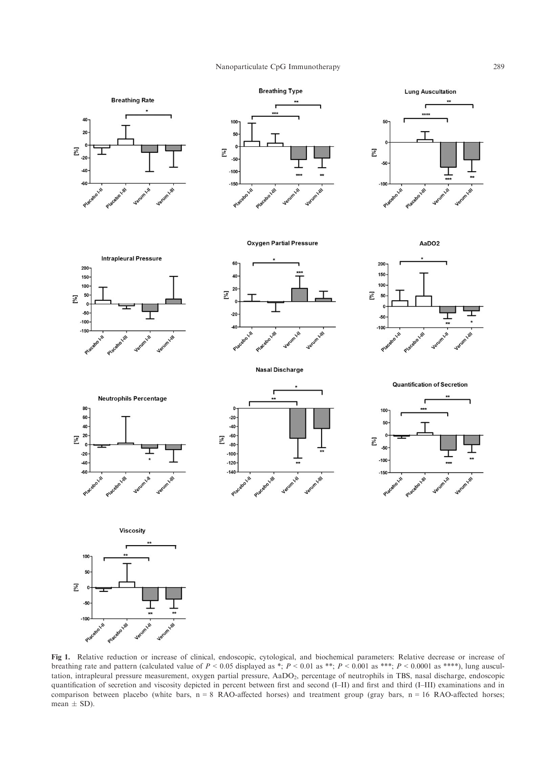#### Nanoparticulate CpG Immunotherapy 289



Fig 1. Relative reduction or increase of clinical, endoscopic, cytological, and biochemical parameters: Relative decrease or increase of breathing rate and pattern (calculated value of  $P < 0.05$  displayed as \*;  $P < 0.01$  as \*\*;  $P < 0.001$  as \*\*\*;  $P < 0.0001$  as \*\*\*\*), lung auscultation, intrapleural pressure measurement, oxygen partial pressure, AaDO2, percentage of neutrophils in TBS, nasal discharge, endoscopic quantification of secretion and viscosity depicted in percent between first and second (I–II) and first and third (I–III) examinations and in comparison between placebo (white bars,  $n = 8$  RAO-affected horses) and treatment group (gray bars,  $n = 16$  RAO-affected horses; mean  $\pm$  SD).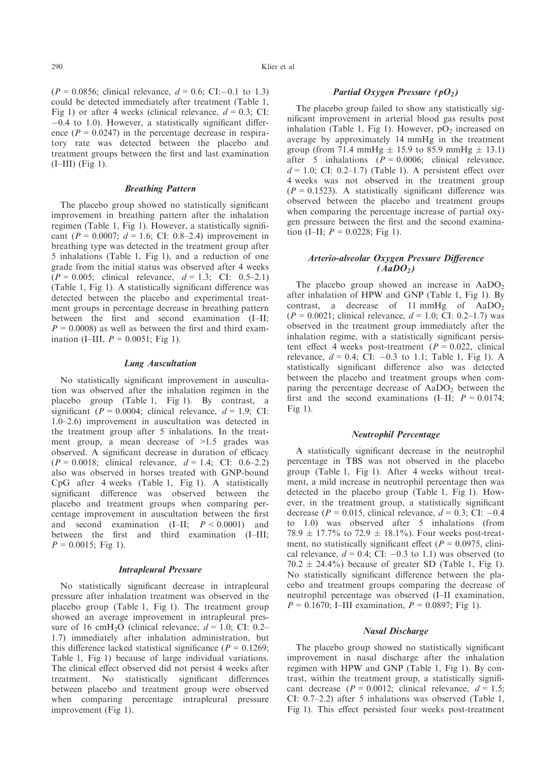$(P = 0.0856$ ; clinical relevance,  $d = 0.6$ ; CI:-0.1 to 1.3) could be detected immediately after treatment (Table 1, Fig 1) or after 4 weeks (clinical relevance,  $d = 0.3$ ; CI:  $-0.4$  to 1.0). However, a statistically significant difference ( $P = 0.0247$ ) in the percentage decrease in respiratory rate was detected between the placebo and treatment groups between the first and last examination  $(I–III)$  (Fig 1).

#### Breathing Pattern

The placebo group showed no statistically significant improvement in breathing pattern after the inhalation regimen (Table 1, Fig 1). However, a statistically significant ( $P = 0.0007$ ;  $d = 1.6$ ; CI: 0.8–2.4) improvement in breathing type was detected in the treatment group after 5 inhalations (Table 1, Fig 1), and a reduction of one grade from the initial status was observed after 4 weeks  $(P = 0.005;$  clinical relevance,  $d = 1.3;$  CI: 0.5–2.1) (Table 1, Fig 1). A statistically significant difference was detected between the placebo and experimental treatment groups in percentage decrease in breathing pattern between the first and second examination (I–II;  $P = 0.0008$ ) as well as between the first and third examination (I–III,  $P = 0.0051$ ; Fig 1).

#### Lung Auscultation

No statistically significant improvement in auscultation was observed after the inhalation regimen in the placebo group (Table 1, Fig 1). By contrast, a significant ( $P = 0.0004$ ; clinical relevance,  $d = 1.9$ ; CI: 1.0–2.6) improvement in auscultation was detected in the treatment group after 5 inhalations. In the treatment group, a mean decrease of >1.5 grades was observed. A significant decrease in duration of efficacy  $(P = 0.0018;$  clinical relevance,  $d = 1.4;$  CI: 0.6–2.2) also was observed in horses treated with GNP-bound CpG after 4 weeks (Table 1, Fig 1). A statistically significant difference was observed between the placebo and treatment groups when comparing percentage improvement in auscultation between the first and second examination  $(I-H; P \le 0.0001)$  and between the first and third examination (I–III;  $P = 0.0015$ ; Fig 1).

#### Intrapleural Pressure

No statistically significant decrease in intrapleural pressure after inhalation treatment was observed in the placebo group (Table 1, Fig 1). The treatment group showed an average improvement in intrapleural pressure of 16 cmH<sub>2</sub>O (clinical relevance,  $d = 1.0$ ; CI: 0.2– 1.7) immediately after inhalation administration, but this difference lacked statistical significance ( $P = 0.1269$ ; Table 1, Fig 1) because of large individual variations. The clinical effect observed did not persist 4 weeks after treatment. No statistically significant differences between placebo and treatment group were observed when comparing percentage intrapleural pressure improvement (Fig 1).

# Partial Oxygen Pressure  $(pO<sub>2</sub>)$

The placebo group failed to show any statistically significant improvement in arterial blood gas results post inhalation (Table 1, Fig 1). However,  $pO<sub>2</sub>$  increased on average by approximately 14 mmHg in the treatment group (from 71.4 mmHg  $\pm$  15.9 to 85.9 mmHg  $\pm$  13.1) after 5 inhalations ( $P = 0.0006$ ; clinical relevance,  $d = 1.0$ ; CI: 0.2–1.7) (Table 1). A persistent effect over 4 weeks was not observed in the treatment group  $(P = 0.1523)$ . A statistically significant difference was observed between the placebo and treatment groups when comparing the percentage increase of partial oxygen pressure between the first and the second examination (I–II;  $P = 0.0228$ ; Fig 1).

# Arterio-alveolar Oxygen Pressure Difference  $(AaDO<sub>2</sub>)$

The placebo group showed an increase in  $AaDO<sub>2</sub>$ after inhalation of HPW and GNP (Table 1, Fig 1). By contrast, a decrease of 11 mmHg of AaDO<sub>2</sub>  $(P = 0.0021$ ; clinical relevance,  $d = 1.0$ ; CI: 0.2–1.7) was observed in the treatment group immediately after the inhalation regime, with a statistically significant persistent effect 4 weeks post-treatment ( $P = 0.022$ , clinical relevance,  $d = 0.4$ ; CI:  $-0.3$  to 1.1; Table 1, Fig 1). A statistically significant difference also was detected between the placebo and treatment groups when comparing the percentage decrease of  $AaDO<sub>2</sub>$  between the first and the second examinations (I–II;  $P = 0.0174$ ; Fig 1).

# Neutrophil Percentage

A statistically significant decrease in the neutrophil percentage in TBS was not observed in the placebo group (Table 1, Fig 1). After 4 weeks without treatment, a mild increase in neutrophil percentage then was detected in the placebo group (Table 1, Fig 1). However, in the treatment group, a statistically significant decrease ( $P = 0.015$ , clinical relevance,  $d = 0.3$ ; CI:  $-0.4$ to 1.0) was observed after 5 inhalations (from 78.9  $\pm$  17.7% to 72.9  $\pm$  18.1%). Four weeks post-treatment, no statistically significant effect ( $P = 0.0975$ , clinical relevance,  $d = 0.4$ ; CI:  $-0.3$  to 1.1) was observed (to  $70.2 \pm 24.4\%$ ) because of greater SD (Table 1, Fig 1). No statistically significant difference between the placebo and treatment groups comparing the decrease of neutrophil percentage was observed (I–II examination,  $P = 0.1670$ ; I–III examination,  $P = 0.0897$ ; Fig 1).

#### Nasal Discharge

The placebo group showed no statistically significant improvement in nasal discharge after the inhalation regimen with HPW and GNP (Table 1, Fig 1). By contrast, within the treatment group, a statistically significant decrease ( $P = 0.0012$ ; clinical relevance,  $d = 1.5$ ; CI: 0.7–2.2) after 5 inhalations was observed (Table 1, Fig 1). This effect persisted four weeks post-treatment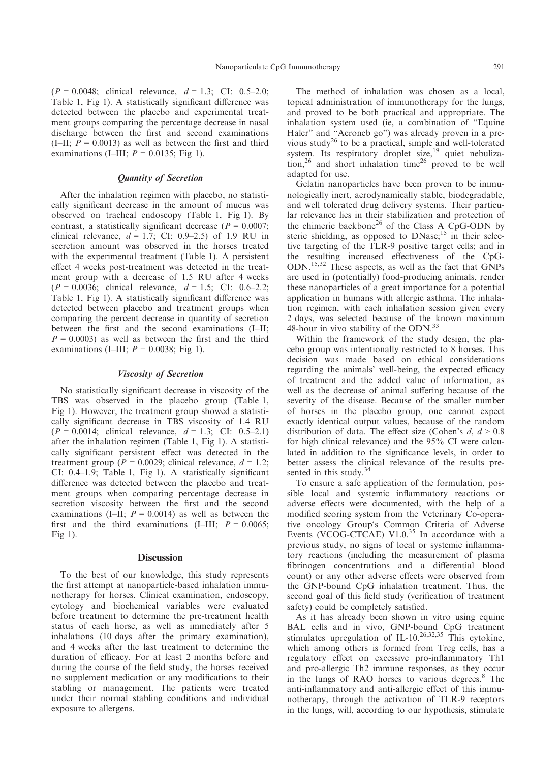$(P = 0.0048;$  clinical relevance,  $d = 1.3;$  CI: 0.5–2.0; Table 1, Fig 1). A statistically significant difference was detected between the placebo and experimental treatment groups comparing the percentage decrease in nasal discharge between the first and second examinations (I–II;  $P = 0.0013$ ) as well as between the first and third examinations (I–III;  $P = 0.0135$ ; Fig 1).

# Quantity of Secretion

After the inhalation regimen with placebo, no statistically significant decrease in the amount of mucus was observed on tracheal endoscopy (Table 1, Fig 1). By contrast, a statistically significant decrease ( $P = 0.0007$ ; clinical relevance,  $d = 1.7$ ; CI: 0.9–2.5) of 1.9 RU in secretion amount was observed in the horses treated with the experimental treatment (Table 1). A persistent effect 4 weeks post-treatment was detected in the treatment group with a decrease of 1.5 RU after 4 weeks  $(P = 0.0036$ ; clinical relevance,  $d = 1.5$ ; CI: 0.6–2.2; Table 1, Fig 1). A statistically significant difference was detected between placebo and treatment groups when comparing the percent decrease in quantity of secretion between the first and the second examinations (I–II;  $P = 0.0003$ ) as well as between the first and the third examinations (I–III;  $P = 0.0038$ ; Fig 1).

#### Viscosity of Secretion

No statistically significant decrease in viscosity of the TBS was observed in the placebo group (Table 1, Fig 1). However, the treatment group showed a statistically significant decrease in TBS viscosity of 1.4 RU  $(P = 0.0014$ ; clinical relevance,  $d = 1.3$ ; CI: 0.5–2.1) after the inhalation regimen (Table 1, Fig 1). A statistically significant persistent effect was detected in the treatment group ( $P = 0.0029$ ; clinical relevance,  $d = 1.2$ ; CI: 0.4–1.9; Table 1, Fig 1). A statistically significant difference was detected between the placebo and treatment groups when comparing percentage decrease in secretion viscosity between the first and the second examinations (I–II;  $P = 0.0014$ ) as well as between the first and the third examinations (I–III;  $P = 0.0065$ ; Fig 1).

## **Discussion**

To the best of our knowledge, this study represents the first attempt at nanoparticle-based inhalation immunotherapy for horses. Clinical examination, endoscopy, cytology and biochemical variables were evaluated before treatment to determine the pre-treatment health status of each horse, as well as immediately after 5 inhalations (10 days after the primary examination), and 4 weeks after the last treatment to determine the duration of efficacy. For at least 2 months before and during the course of the field study, the horses received no supplement medication or any modifications to their stabling or management. The patients were treated under their normal stabling conditions and individual exposure to allergens.

The method of inhalation was chosen as a local, topical administration of immunotherapy for the lungs, and proved to be both practical and appropriate. The inhalation system used (ie, a combination of "Equine Haler" and "Aeroneb go") was already proven in a previous study26 to be a practical, simple and well-tolerated system. Its respiratory droplet size,<sup>19</sup> quiet nebulization,<sup>26</sup> and short inhalation time<sup>26</sup> proved to be well adapted for use.

Gelatin nanoparticles have been proven to be immunologically inert, aerodynamically stable, biodegradable, and well tolerated drug delivery systems. Their particular relevance lies in their stabilization and protection of the chimeric backbone<sup>26</sup> of the Class A CpG-ODN by steric shielding, as opposed to  $DNase$ ;<sup>15</sup> in their selective targeting of the TLR-9 positive target cells; and in the resulting increased effectiveness of the CpG-ODN.15,32 These aspects, as well as the fact that GNPs are used in (potentially) food-producing animals, render these nanoparticles of a great importance for a potential application in humans with allergic asthma. The inhalation regimen, with each inhalation session given every 2 days, was selected because of the known maximum 48-hour in vivo stability of the ODN.<sup>33</sup>

Within the framework of the study design, the placebo group was intentionally restricted to 8 horses. This decision was made based on ethical considerations regarding the animals' well-being, the expected efficacy of treatment and the added value of information, as well as the decrease of animal suffering because of the severity of the disease. Because of the smaller number of horses in the placebo group, one cannot expect exactly identical output values, because of the random distribution of data. The effect size (Cohen's  $d, d > 0.8$ ) for high clinical relevance) and the 95% CI were calculated in addition to the significance levels, in order to better assess the clinical relevance of the results presented in this study.<sup>34</sup>

To ensure a safe application of the formulation, possible local and systemic inflammatory reactions or adverse effects were documented, with the help of a modified scoring system from the Veterinary Co-operative oncology Group's Common Criteria of Adverse Events (VCOG-CTCAE) V1.0. $35$  In accordance with a previous study, no signs of local or systemic inflammatory reactions (including the measurement of plasma fibrinogen concentrations and a differential blood count) or any other adverse effects were observed from the GNP-bound CpG inhalation treatment. Thus, the second goal of this field study (verification of treatment safety) could be completely satisfied.

As it has already been shown in vitro using equine BAL cells and in vivo, GNP-bound CpG treatment stimulates upregulation of IL-10.<sup>26,32,35</sup> This cytokine. which among others is formed from Treg cells, has a regulatory effect on excessive pro-inflammatory Th1 and pro-allergic Th2 immune responses, as they occur in the lungs of RAO horses to various degrees.<sup>8</sup> The anti-inflammatory and anti-allergic effect of this immunotherapy, through the activation of TLR-9 receptors in the lungs, will, according to our hypothesis, stimulate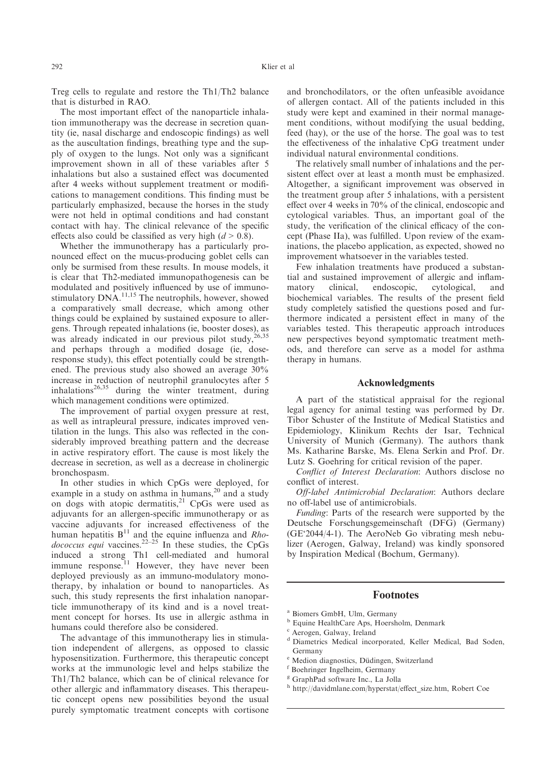Treg cells to regulate and restore the Th1/Th2 balance that is disturbed in RAO.

The most important effect of the nanoparticle inhalation immunotherapy was the decrease in secretion quantity (ie, nasal discharge and endoscopic findings) as well as the auscultation findings, breathing type and the supply of oxygen to the lungs. Not only was a significant improvement shown in all of these variables after 5 inhalations but also a sustained effect was documented after 4 weeks without supplement treatment or modifications to management conditions. This finding must be particularly emphasized, because the horses in the study were not held in optimal conditions and had constant contact with hay. The clinical relevance of the specific effects also could be classified as very high  $(d > 0.8)$ .

Whether the immunotherapy has a particularly pronounced effect on the mucus-producing goblet cells can only be surmised from these results. In mouse models, it is clear that Th2-mediated immunopathogenesis can be modulated and positively influenced by use of immunostimulatory  $DNA$ .<sup>11,15</sup> The neutrophils, however, showed a comparatively small decrease, which among other things could be explained by sustained exposure to allergens. Through repeated inhalations (ie, booster doses), as was already indicated in our previous pilot study, and perhaps through a modified dosage (ie, doseresponse study), this effect potentially could be strengthened. The previous study also showed an average 30% increase in reduction of neutrophil granulocytes after 5  $intulators<sup>26,35</sup>$  during the winter treatment, during which management conditions were optimized.

The improvement of partial oxygen pressure at rest, as well as intrapleural pressure, indicates improved ventilation in the lungs. This also was reflected in the considerably improved breathing pattern and the decrease in active respiratory effort. The cause is most likely the decrease in secretion, as well as a decrease in cholinergic bronchospasm.

In other studies in which CpGs were deployed, for example in a study on asthma in humans, $20$  and a study on dogs with atopic dermatitis, $21$  CpGs were used as adjuvants for an allergen-specific immunotherapy or as vaccine adjuvants for increased effectiveness of the human hepatitis  $B<sup>11</sup>$  and the equine influenza and *Rho*dococcus equi vaccines.<sup>22–25</sup> In these studies, the CpGs induced a strong Th1 cell-mediated and humoral immune response.<sup>11</sup> However, they have never been deployed previously as an immuno-modulatory monotherapy, by inhalation or bound to nanoparticles. As such, this study represents the first inhalation nanoparticle immunotherapy of its kind and is a novel treatment concept for horses. Its use in allergic asthma in humans could therefore also be considered.

The advantage of this immunotherapy lies in stimulation independent of allergens, as opposed to classic hyposensitization. Furthermore, this therapeutic concept works at the immunologic level and helps stabilize the Th1/Th2 balance, which can be of clinical relevance for other allergic and inflammatory diseases. This therapeutic concept opens new possibilities beyond the usual purely symptomatic treatment concepts with cortisone and bronchodilators, or the often unfeasible avoidance of allergen contact. All of the patients included in this study were kept and examined in their normal management conditions, without modifying the usual bedding, feed (hay), or the use of the horse. The goal was to test the effectiveness of the inhalative CpG treatment under individual natural environmental conditions.

The relatively small number of inhalations and the persistent effect over at least a month must be emphasized. Altogether, a significant improvement was observed in the treatment group after 5 inhalations, with a persistent effect over 4 weeks in 70% of the clinical, endoscopic and cytological variables. Thus, an important goal of the study, the verification of the clinical efficacy of the concept (Phase IIa), was fulfilled. Upon review of the examinations, the placebo application, as expected, showed no improvement whatsoever in the variables tested.

Few inhalation treatments have produced a substantial and sustained improvement of allergic and inflammatory clinical, endoscopic, cytological, and biochemical variables. The results of the present field study completely satisfied the questions posed and furthermore indicated a persistent effect in many of the variables tested. This therapeutic approach introduces new perspectives beyond symptomatic treatment methods, and therefore can serve as a model for asthma therapy in humans.

#### Acknowledgments

A part of the statistical appraisal for the regional legal agency for animal testing was performed by Dr. Tibor Schuster of the Institute of Medical Statistics and Epidemiology, Klinikum Rechts der Isar, Technical University of Munich (Germany). The authors thank Ms. Katharine Barske, Ms. Elena Serkin and Prof. Dr. Lutz S. Goehring for critical revision of the paper.

Conflict of Interest Declaration: Authors disclose no conflict of interest.

Off-label Antimicrobial Declaration: Authors declare no off-label use of antimicrobials.

Funding: Parts of the research were supported by the Deutsche Forschungsgemeinschaft (DFG) (Germany) (GE'2044/4-1). The AeroNeb Go vibrating mesh nebulizer (Aerogen, Galway, Ireland) was kindly sponsored by Inspiration Medical (Bochum, Germany).

# Footnotes

- <sup>a</sup> Biomers GmbH, Ulm, Germany
- <sup>b</sup> Equine HealthCare Aps, Hoersholm, Denmark
- <sup>c</sup> Aerogen, Galway, Ireland
- <sup>d</sup> Diametrics Medical incorporated, Keller Medical, Bad Soden, Germany
- <sup>e</sup> Medion diagnostics, Düdingen, Switzerland
- <sup>f</sup> Boehringer Ingelheim, Germany
- <sup>g</sup> GraphPad software Inc., La Jolla
- h http://davidmlane.com/hyperstat/effect\_size.htm, Robert Coe